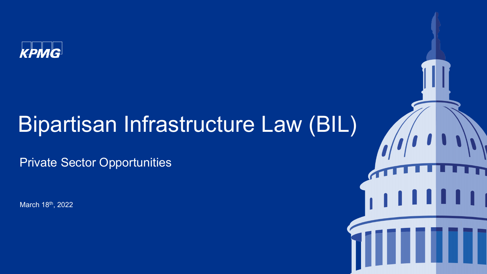

# Bipartisan Infrastructure Law (BIL)

ш

Private Sector Opportunities

March 18th, 2022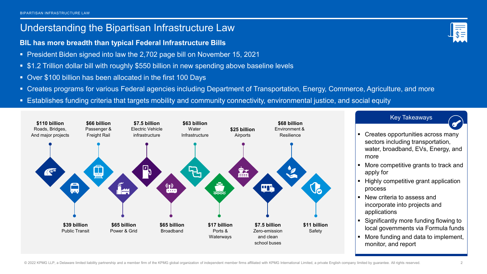### Understanding the Bipartisan Infrastructure Law

- **BIL has more breadth than typical Federal Infrastructure Bills**
- **President Biden signed into law the 2,702 page bill on November 15, 2021**
- \$1.2 Trillion dollar bill with roughly \$550 billion in new spending above baseline levels
- Over \$100 billion has been allocated in the first 100 Days
- Creates programs for various Federal agencies including Department of Transportation, Energy, Commerce, Agriculture, and more
- Establishes funding criteria that targets mobility and community connectivity, environmental justice, and social equity





- 
- Creates opportunities across many sectors including transportation, water, broadband, EVs, Energy, and more
- More competitive grants to track and apply for
- Highly competitive grant application process
- New criteria to assess and incorporate into projects and applications
- Significantly more funding flowing to local governments via Formula funds
- More funding and data to implement, monitor, and report

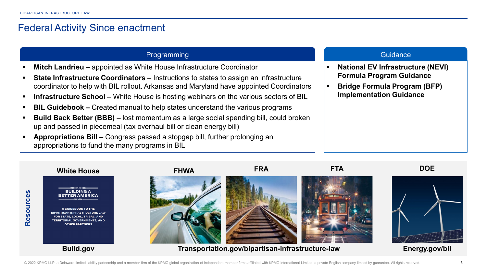## Federal Activity Since enactment

### Programming Guidance Communication of the Communication of the Communication of the Guidance

- **Mitch Landrieu –** appointed as White House Infrastructure Coordinator
- **State Infrastructure Coordinators** Instructions to states to assign an infrastructure coordinator to help with BIL rollout. Arkansas and Maryland have appointed Coordinators
- **Infrastructure School –** White House is hosting webinars on the various sectors of BIL
- **BIL Guidebook –** Created manual to help states understand the various programs
- **Build Back Better (BBB) –** lost momentum as a large social spending bill, could broken up and passed in piecemeal (tax overhaul bill or clean energy bill)
- **Appropriations Bill –** Congress passed a stopgap bill, further prolonging an appropriations to fund the many programs in BIL

- **National EV Infrastructure (NEVI) Formula Program Guidance**
- **Bridge Formula Program (BFP) Implementation Guidance**

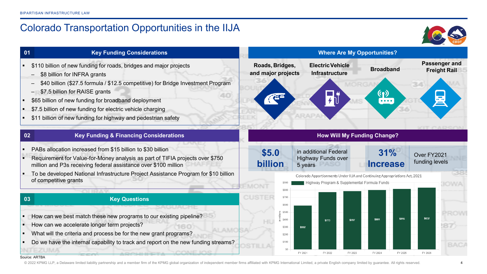**01**

**02**

**03**

# Colorado Transportation Opportunities in the IIJA



**Passenger and Freight Rail**

Over FY2021 funding levels

\$832

FY 2026

\$816

FY 2025

**Where Are My Opportunities?**

**Infrastructure Broadband**

**ElectricVehicle**

in additional Federal Highway Funds over

 $$773$ 

FY 2022

5 years

\$592

FY 2021

**Roads, Bridges, and major projects**

 $\mathbf{A}^{\text{H}}$ 

**\$5.0**

**billion**

**CUSTER** 

\$800

\$700 \$600 e \$500

 $=$  \$400

\$300

\$200 \$100  $$0$  **How Will My Funding Change?**

Colorado Apportionments Under IIJA and Continuing Appropriations Act. 2021

Highway Program & Supplemental Formula Funds

\$787

FY 2023

FY 2024

**31%**

(၇)

**Increase** 

#### **Key Funding Considerations**

- **.** \$110 billion of new funding for roads, bridges and major projects
	- \$8 billion for INFRA grants
	- \$40 billion (\$27.5 formula / \$12.5 competitive) for Bridge Investment Program
	- \$7.5 billion for RAISE grants
- **\$65 billion of new funding for broadband deployment**
- **57.5 billion of new funding for electric vehicle charging**
- \$11 billion of new funding for highway and pedestrian safety

#### **Key Funding & Financing Considerations**

- PABs allocation increased from \$15 billion to \$30 billion
- Requirement for Value-for-Money analysis as part of TIFIA projects over \$750 million and P3s receiving federal assistance over \$100 million
- To be developed National Infrastructure Project Assistance Program for \$10 billion of competitive grants

#### **Key Questions**

- How can we best match these new programs to our existing pipeline?
- How can we accelerate longer term projects?
- What will the criteria and process be for the new grant programs?
- Do we have the internal capability to track and report on the new funding streams?

#### Source: ARTBA

© 2022 KPMG LLP, a Delaware limited liability partnership and a member firm of the KPMG global organization of independent member firms affiliated with KPMG International Limited, a private English company limited by guara

**ICHNA**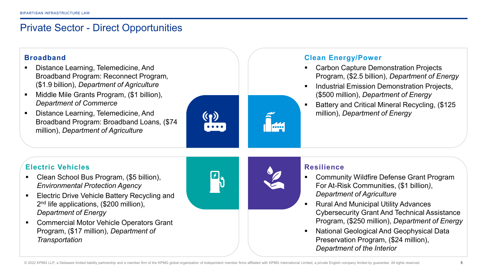# Private Sector - Direct Opportunities



- Distance Learning, Telemedicine, And Broadband Program: Reconnect Program*,* (\$1.9 billion), *Department of Agriculture*
- Middle Mile Grants Program, (\$1 billion), *Department of Commerce*
- **•** Distance Learning, Telemedicine, And Broadband Program: Broadband Loans*,* (\$74 million), *Department of Agriculture*



### **Clean Energy/Power**

- Carbon Capture Demonstration Projects Program, (\$2.5 billion), *Department of Energy*
- Industrial Emission Demonstration Projects, (\$500 million), *Department of Energy*
- Battery and Critical Mineral Recycling, (\$125 million), *Department of Energy*

### **Electric Vehicles**

- Clean School Bus Program, (\$5 billion), *Environmental Protection Agency*
- **Electric Drive Vehicle Battery Recycling and** 2<sup>nd</sup> life applications, (\$200 million), *Department of Energy*
- Commercial Motor Vehicle Operators Grant Program, (\$17 million), *Department of Transportation*



### **Resilience**

- Community Wildfire Defense Grant Program For At-Risk Communities, (\$1 billion*)*, *Department of Agriculture*
- Rural And Municipal Utility Advances Cybersecurity Grant And Technical Assistance Program, (\$250 million), *Department of Energy*
- National Geological And Geophysical Data Preservation Program, (\$24 million), *Department of the Interior*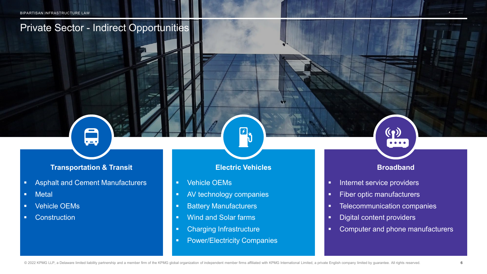# Private Sector - Indirect Opportunities

### **Transportation & Transit Electric Vehicles Broadband**

- **Asphalt and Cement Manufacturers**
- **•** Metal
- **•** Vehicle OEMs
- **•** Construction

 $|f|_{\mathcal{Y}}$ 

- **Vehicle OEMs**
- **AV technology companies**
- **Battery Manufacturers**
- **Wind and Solar farms**
- **•** Charging Infrastructure
- **•** Power/Electricity Companies

 $(3)$ 

- **Internet service providers**
- **Fiber optic manufacturers**
- **EXECOMMUNICATED EXECUTE:** Telecommunication companies
- **•** Digital content providers
- **EXEDER** Computer and phone manufacturers